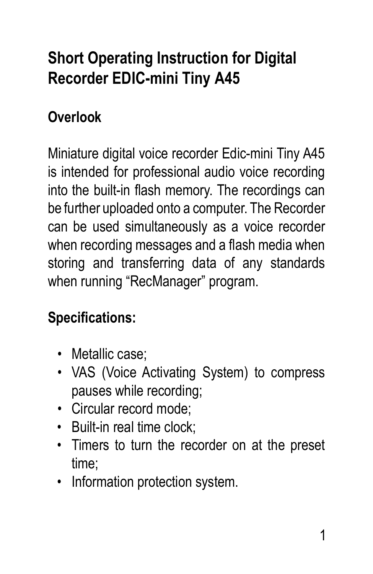# **Short Operating Instruction for Digital Recorder EDIC-mini Tiny A45**

# **Overlook**

Miniature digital voice recorder Edic-mini Tiny A45 is intended for professional audio voice recording into the built-in flash memory. The recordings can be further uploaded onto a computer. The Recorder can be used simultaneously as a voice recorder when recording messages and a flash media when storing and transferring data of any standards when running "RecManager" program.

### **Specifications:**

- Metallic case:
- VAS (Voice Activating System) to compress pauses while recording;
- Circular record mode;
- Built-in real time clock;
- Timers to turn the recorder on at the preset time;
- Information protection system.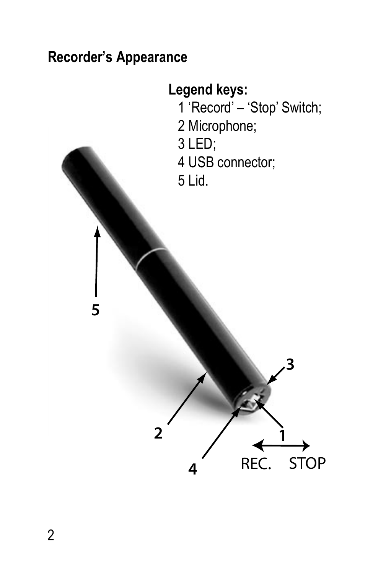#### **Recorder's Appearance**

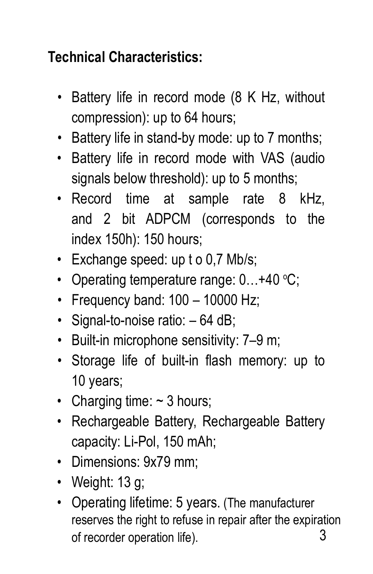## **Technical Characteristics:**

- Battery life in record mode (8 K Hz, without compression): up to 64 hours;
- Battery life in stand-by mode: up to 7 months;
- Battery life in record mode with VAS (audio signals below threshold): up to 5 months;
- Record time at sample rate 8 kHz, and 2 bit ADPCM (corresponds to the index 150h): 150 hours;
- Exchange speed: up t o 0,7 Mb/s;
- Operating temperature range: 0...+40 °C;
- Frequency band:  $100 10000$  Hz:
- Signal-to-noise ratio:  $-64$  dB:
- Built-in microphone sensitivity: 7–9 m;
- Storage life of built-in flash memory: up to 10 years;
- Charging time:  $\sim$  3 hours:
- Rechargeable Battery, Rechargeable Battery capacity: Li-Pol, 150 mAh;
- Dimensions: 9x79 mm;
- Weight:  $13 \text{ g}$ :
- Operating lifetime: 5 years. (The manufacturer reserves the right to refuse in repair after the expiration 3 of recorder operation life).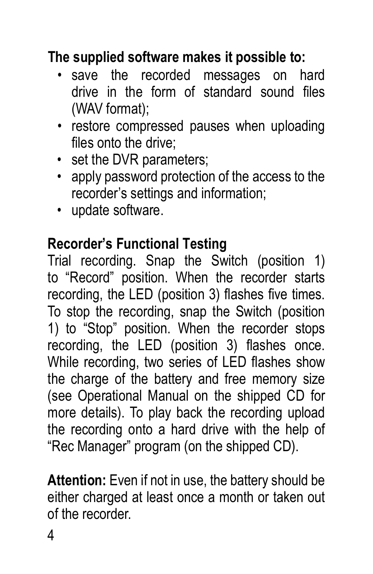#### **The supplied software makes it possible to:**

- save the recorded messages on hard drive in the form of standard sound files (WAV format);
- restore compressed pauses when uploading files onto the drive;
- set the DVR parameters;
- apply password protection of the access to the recorder's settings and information;
- update software.

#### **Recorder's Functional Testing**

Trial recording. Snap the Switch (position 1) to "Record" position. When the recorder starts recording, the LED (position 3) flashes five times. To stop the recording, snap the Switch (position 1) to "Stop" position. When the recorder stops recording, the LED (position 3) flashes once. While recording, two series of LED flashes show the charge of the battery and free memory size (see Operational Manual on the shipped CD for more details). To play back the recording upload the recording onto a hard drive with the help of "Rec Manager" program (on the shipped CD).

**Attention:** Even if not in use, the battery should be either charged at least once a month or taken out of the recorder.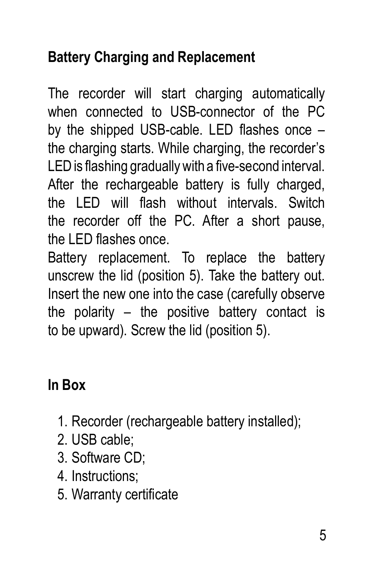## **Battery Charging and Replacement**

The recorder will start charging automatically when connected to USB-connector of the PC by the shipped USB-cable. LED flashes once – the charging starts. While charging, the recorder's LED is flashing gradually with a five-second interval. After the rechargeable battery is fully charged, the LED will flash without intervals. Switch the recorder off the PC. After a short pause, the LED flashes once.

Battery replacement. To replace the battery unscrew the lid (position 5). Take the battery out. Insert the new one into the case (carefully observe the polarity – the positive battery contact is to be upward). Screw the lid (position 5).

### **In Box**

- 1. Recorder (rechargeable battery installed);
- 2. USB cable;
- 3. Software CD;
- 4. Instructions;
- 5. Warranty certificate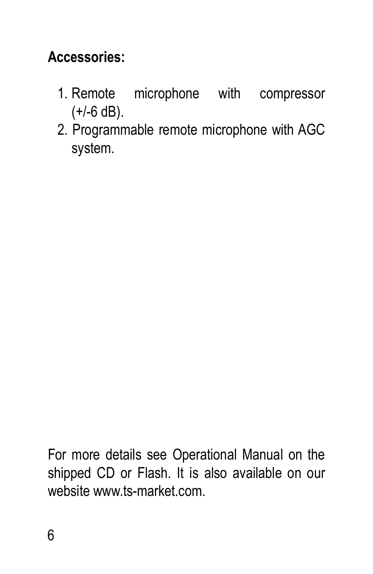#### **Accessories:**

- 1. Remote microphone with compressor  $(+/-6$  dB).
- 2. Programmable remote microphone with AGC system.

For more details see Operational Manual on the shipped CD or Flash. It is also available on our website www.ts-market.com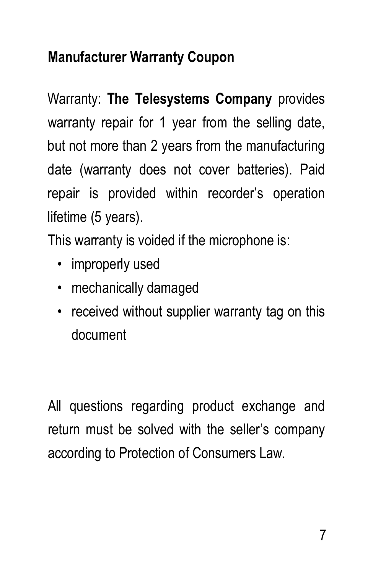### **Manufacturer Warranty Coupon**

Warranty: **The Telesystems Company** provides warranty repair for 1 year from the selling date, but not more than 2 years from the manufacturing date (warranty does not cover batteries). Paid repair is provided within recorder's operation lifetime (5 years).

This warranty is voided if the microphone is:

- improperly used
- mechanically damaged
- received without supplier warranty tag on this document

All questions regarding product exchange and return must be solved with the seller's company according to Protection of Consumers Law.